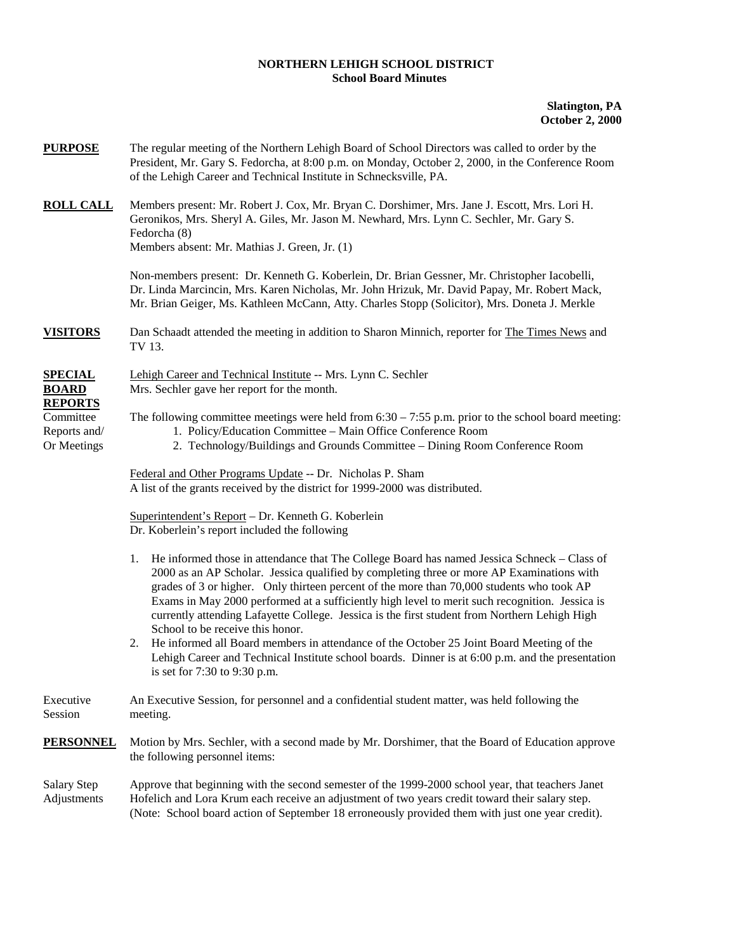## **NORTHERN LEHIGH SCHOOL DISTRICT School Board Minutes**

## **Slatington, PA October 2, 2000**

| <b>PURPOSE</b>                                   | The regular meeting of the Northern Lehigh Board of School Directors was called to order by the<br>President, Mr. Gary S. Fedorcha, at 8:00 p.m. on Monday, October 2, 2000, in the Conference Room<br>of the Lehigh Career and Technical Institute in Schnecksville, PA.                                                                                                                                                                                                                                                          |
|--------------------------------------------------|------------------------------------------------------------------------------------------------------------------------------------------------------------------------------------------------------------------------------------------------------------------------------------------------------------------------------------------------------------------------------------------------------------------------------------------------------------------------------------------------------------------------------------|
| <b>ROLL CALL</b>                                 | Members present: Mr. Robert J. Cox, Mr. Bryan C. Dorshimer, Mrs. Jane J. Escott, Mrs. Lori H.<br>Geronikos, Mrs. Sheryl A. Giles, Mr. Jason M. Newhard, Mrs. Lynn C. Sechler, Mr. Gary S.<br>Fedorcha (8)<br>Members absent: Mr. Mathias J. Green, Jr. (1)                                                                                                                                                                                                                                                                         |
|                                                  | Non-members present: Dr. Kenneth G. Koberlein, Dr. Brian Gessner, Mr. Christopher Iacobelli,<br>Dr. Linda Marcincin, Mrs. Karen Nicholas, Mr. John Hrizuk, Mr. David Papay, Mr. Robert Mack,<br>Mr. Brian Geiger, Ms. Kathleen McCann, Atty. Charles Stopp (Solicitor), Mrs. Doneta J. Merkle                                                                                                                                                                                                                                      |
| <b>VISITORS</b>                                  | Dan Schaadt attended the meeting in addition to Sharon Minnich, reporter for The Times News and<br>TV 13.                                                                                                                                                                                                                                                                                                                                                                                                                          |
| <b>SPECIAL</b><br><b>BOARD</b><br><b>REPORTS</b> | Lehigh Career and Technical Institute -- Mrs. Lynn C. Sechler<br>Mrs. Sechler gave her report for the month.                                                                                                                                                                                                                                                                                                                                                                                                                       |
| Committee<br>Reports and/<br>Or Meetings         | The following committee meetings were held from $6:30 - 7:55$ p.m. prior to the school board meeting:<br>1. Policy/Education Committee - Main Office Conference Room<br>2. Technology/Buildings and Grounds Committee - Dining Room Conference Room                                                                                                                                                                                                                                                                                |
|                                                  | Federal and Other Programs Update -- Dr. Nicholas P. Sham<br>A list of the grants received by the district for 1999-2000 was distributed.                                                                                                                                                                                                                                                                                                                                                                                          |
|                                                  | Superintendent's Report - Dr. Kenneth G. Koberlein<br>Dr. Koberlein's report included the following                                                                                                                                                                                                                                                                                                                                                                                                                                |
|                                                  | He informed those in attendance that The College Board has named Jessica Schneck – Class of<br>1.<br>2000 as an AP Scholar. Jessica qualified by completing three or more AP Examinations with<br>grades of 3 or higher. Only thirteen percent of the more than 70,000 students who took AP<br>Exams in May 2000 performed at a sufficiently high level to merit such recognition. Jessica is<br>currently attending Lafayette College. Jessica is the first student from Northern Lehigh High<br>School to be receive this honor. |
|                                                  | He informed all Board members in attendance of the October 25 Joint Board Meeting of the<br>2.<br>Lehigh Career and Technical Institute school boards. Dinner is at 6:00 p.m. and the presentation<br>is set for 7:30 to 9:30 p.m.                                                                                                                                                                                                                                                                                                 |
| Executive<br>Session                             | An Executive Session, for personnel and a confidential student matter, was held following the<br>meeting.                                                                                                                                                                                                                                                                                                                                                                                                                          |
| <b>PERSONNEL</b>                                 | Motion by Mrs. Sechler, with a second made by Mr. Dorshimer, that the Board of Education approve<br>the following personnel items:                                                                                                                                                                                                                                                                                                                                                                                                 |
| Salary Step<br>Adjustments                       | Approve that beginning with the second semester of the 1999-2000 school year, that teachers Janet<br>Hofelich and Lora Krum each receive an adjustment of two years credit toward their salary step.<br>(Note: School board action of September 18 erroneously provided them with just one year credit).                                                                                                                                                                                                                           |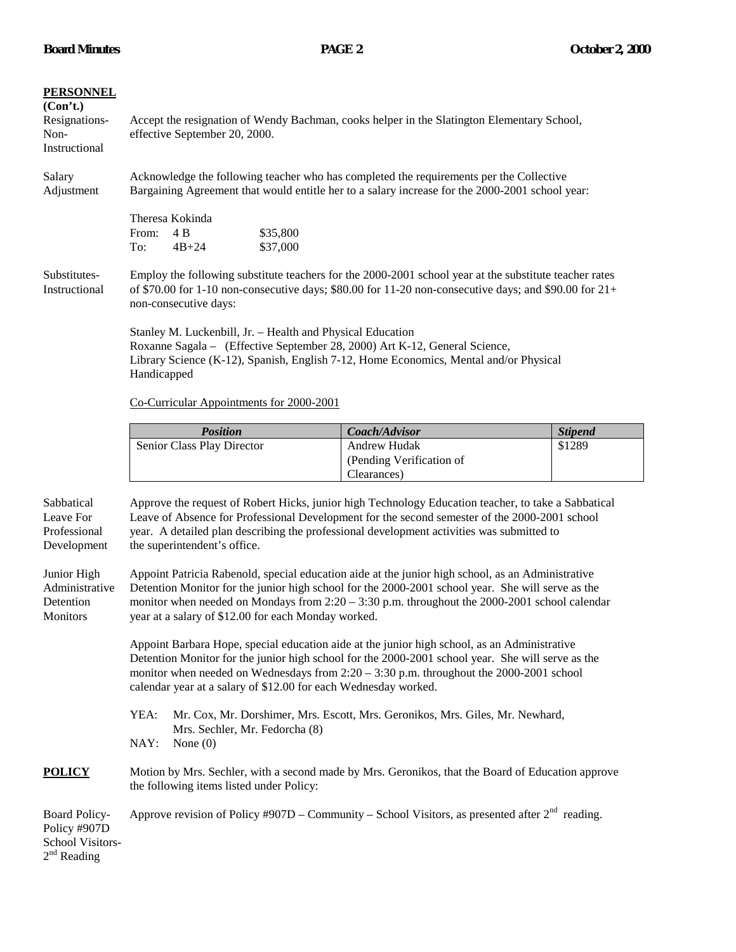| <b>PERSONNEL</b><br>(Con't.)<br>Resignations-<br>Non-<br>Instructional | Accept the resignation of Wendy Bachman, cooks helper in the Slatington Elementary School,<br>effective September 20, 2000.                                                                                                                                                                                                                                       |                                                                                                   |                |  |  |
|------------------------------------------------------------------------|-------------------------------------------------------------------------------------------------------------------------------------------------------------------------------------------------------------------------------------------------------------------------------------------------------------------------------------------------------------------|---------------------------------------------------------------------------------------------------|----------------|--|--|
| Salary<br>Adjustment                                                   | Acknowledge the following teacher who has completed the requirements per the Collective<br>Bargaining Agreement that would entitle her to a salary increase for the 2000-2001 school year:                                                                                                                                                                        |                                                                                                   |                |  |  |
|                                                                        | Theresa Kokinda<br>4B<br>\$35,800<br>From:<br>$4B + 24$<br>\$37,000<br>To:                                                                                                                                                                                                                                                                                        |                                                                                                   |                |  |  |
| Substitutes-<br>Instructional                                          | Employ the following substitute teachers for the 2000-2001 school year at the substitute teacher rates<br>of \$70.00 for 1-10 non-consecutive days; \$80.00 for 11-20 non-consecutive days; and \$90.00 for $21+$<br>non-consecutive days:                                                                                                                        |                                                                                                   |                |  |  |
|                                                                        | Stanley M. Luckenbill, Jr. - Health and Physical Education<br>Roxanne Sagala - (Effective September 28, 2000) Art K-12, General Science,<br>Library Science (K-12), Spanish, English 7-12, Home Economics, Mental and/or Physical<br>Handicapped                                                                                                                  |                                                                                                   |                |  |  |
|                                                                        | Co-Curricular Appointments for 2000-2001                                                                                                                                                                                                                                                                                                                          |                                                                                                   |                |  |  |
|                                                                        | <b>Position</b>                                                                                                                                                                                                                                                                                                                                                   | Coach/Advisor                                                                                     | <b>Stipend</b> |  |  |
|                                                                        | Senior Class Play Director                                                                                                                                                                                                                                                                                                                                        | <b>Andrew Hudak</b><br>(Pending Verification of<br>Clearances)                                    | \$1289         |  |  |
| Sabbatical<br>Leave For<br>Professional<br>Development                 | Approve the request of Robert Hicks, junior high Technology Education teacher, to take a Sabbatical<br>Leave of Absence for Professional Development for the second semester of the 2000-2001 school<br>year. A detailed plan describing the professional development activities was submitted to<br>the superintendent's office.                                 |                                                                                                   |                |  |  |
| Junior High<br>Administrative<br>Detention<br><b>Monitors</b>          | Appoint Patricia Rabenold, special education aide at the junior high school, as an Administrative<br>Detention Monitor for the junior high school for the 2000-2001 school year. She will serve as the<br>monitor when needed on Mondays from $2:20 - 3:30$ p.m. throughout the 2000-2001 school calendar<br>year at a salary of \$12.00 for each Monday worked.  |                                                                                                   |                |  |  |
|                                                                        | Appoint Barbara Hope, special education aide at the junior high school, as an Administrative<br>Detention Monitor for the junior high school for the 2000-2001 school year. She will serve as the<br>monitor when needed on Wednesdays from $2:20 - 3:30$ p.m. throughout the 2000-2001 school<br>calendar year at a salary of \$12.00 for each Wednesday worked. |                                                                                                   |                |  |  |
|                                                                        | YEA:<br>Mr. Cox, Mr. Dorshimer, Mrs. Escott, Mrs. Geronikos, Mrs. Giles, Mr. Newhard,<br>Mrs. Sechler, Mr. Fedorcha (8)<br>NAY:<br>None $(0)$                                                                                                                                                                                                                     |                                                                                                   |                |  |  |
| <b>POLICY</b>                                                          | Motion by Mrs. Sechler, with a second made by Mrs. Geronikos, that the Board of Education approve<br>the following items listed under Policy:                                                                                                                                                                                                                     |                                                                                                   |                |  |  |
| Board Policy-<br>Policy #907D<br>School Visitors-<br>$2nd$ Reading     |                                                                                                                                                                                                                                                                                                                                                                   | Approve revision of Policy #907D – Community – School Visitors, as presented after $2nd$ reading. |                |  |  |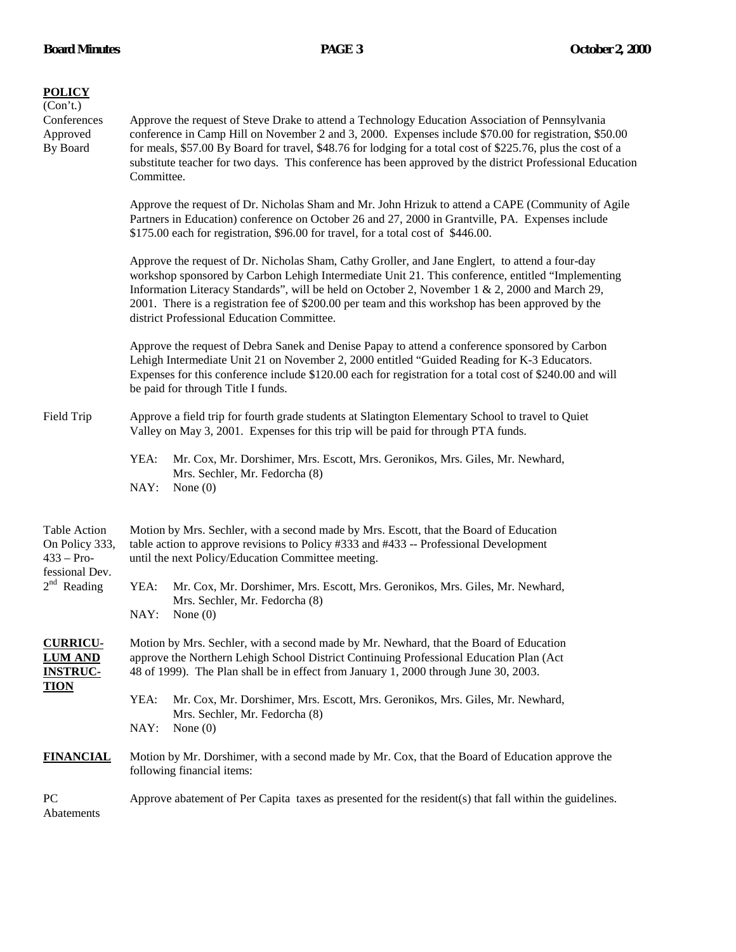| <b>POLICY</b><br>(Con't.)<br>Conferences<br>Approved<br>By Board                                                                              | Approve the request of Steve Drake to attend a Technology Education Association of Pennsylvania<br>conference in Camp Hill on November 2 and 3, 2000. Expenses include \$70.00 for registration, \$50.00<br>for meals, \$57.00 By Board for travel, \$48.76 for lodging for a total cost of \$225.76, plus the cost of a<br>substitute teacher for two days. This conference has been approved by the district Professional Education<br>Committee.                                                                                                                                                                                                                                                                                                     |                                                                                                                                                                                        |  |  |
|-----------------------------------------------------------------------------------------------------------------------------------------------|---------------------------------------------------------------------------------------------------------------------------------------------------------------------------------------------------------------------------------------------------------------------------------------------------------------------------------------------------------------------------------------------------------------------------------------------------------------------------------------------------------------------------------------------------------------------------------------------------------------------------------------------------------------------------------------------------------------------------------------------------------|----------------------------------------------------------------------------------------------------------------------------------------------------------------------------------------|--|--|
|                                                                                                                                               | Approve the request of Dr. Nicholas Sham and Mr. John Hrizuk to attend a CAPE (Community of Agile<br>Partners in Education) conference on October 26 and 27, 2000 in Grantville, PA. Expenses include<br>\$175.00 each for registration, \$96.00 for travel, for a total cost of \$446.00.<br>Approve the request of Dr. Nicholas Sham, Cathy Groller, and Jane Englert, to attend a four-day<br>workshop sponsored by Carbon Lehigh Intermediate Unit 21. This conference, entitled "Implementing<br>Information Literacy Standards", will be held on October 2, November 1 & 2, 2000 and March 29,<br>2001. There is a registration fee of \$200.00 per team and this workshop has been approved by the<br>district Professional Education Committee. |                                                                                                                                                                                        |  |  |
|                                                                                                                                               |                                                                                                                                                                                                                                                                                                                                                                                                                                                                                                                                                                                                                                                                                                                                                         |                                                                                                                                                                                        |  |  |
|                                                                                                                                               | Field Trip                                                                                                                                                                                                                                                                                                                                                                                                                                                                                                                                                                                                                                                                                                                                              | Approve a field trip for fourth grade students at Slatington Elementary School to travel to Quiet<br>Valley on May 3, 2001. Expenses for this trip will be paid for through PTA funds. |  |  |
| YEA:<br>Mr. Cox, Mr. Dorshimer, Mrs. Escott, Mrs. Geronikos, Mrs. Giles, Mr. Newhard,<br>Mrs. Sechler, Mr. Fedorcha (8)<br>NAY:<br>None $(0)$ |                                                                                                                                                                                                                                                                                                                                                                                                                                                                                                                                                                                                                                                                                                                                                         |                                                                                                                                                                                        |  |  |
| Table Action<br>On Policy 333,<br>$433 - Pro-$<br>fessional Dev.<br>$2nd$ Reading                                                             | Motion by Mrs. Sechler, with a second made by Mrs. Escott, that the Board of Education<br>table action to approve revisions to Policy #333 and #433 -- Professional Development<br>until the next Policy/Education Committee meeting.                                                                                                                                                                                                                                                                                                                                                                                                                                                                                                                   |                                                                                                                                                                                        |  |  |
|                                                                                                                                               | YEA:<br>Mr. Cox, Mr. Dorshimer, Mrs. Escott, Mrs. Geronikos, Mrs. Giles, Mr. Newhard,<br>Mrs. Sechler, Mr. Fedorcha (8)<br>NAY:<br>None $(0)$                                                                                                                                                                                                                                                                                                                                                                                                                                                                                                                                                                                                           |                                                                                                                                                                                        |  |  |
| <b>CURRICU-</b><br><b>LUM AND</b><br><b>INSTRUC-</b><br><u>TION</u>                                                                           | Motion by Mrs. Sechler, with a second made by Mr. Newhard, that the Board of Education<br>approve the Northern Lehigh School District Continuing Professional Education Plan (Act<br>48 of 1999). The Plan shall be in effect from January 1, 2000 through June 30, 2003.                                                                                                                                                                                                                                                                                                                                                                                                                                                                               |                                                                                                                                                                                        |  |  |
|                                                                                                                                               | YEA:<br>Mr. Cox, Mr. Dorshimer, Mrs. Escott, Mrs. Geronikos, Mrs. Giles, Mr. Newhard,<br>Mrs. Sechler, Mr. Fedorcha (8)<br>NAY:<br>None $(0)$                                                                                                                                                                                                                                                                                                                                                                                                                                                                                                                                                                                                           |                                                                                                                                                                                        |  |  |
| <b>FINANCIAL</b>                                                                                                                              | Motion by Mr. Dorshimer, with a second made by Mr. Cox, that the Board of Education approve the<br>following financial items:                                                                                                                                                                                                                                                                                                                                                                                                                                                                                                                                                                                                                           |                                                                                                                                                                                        |  |  |
| PC<br>Abatements                                                                                                                              | Approve abatement of Per Capita taxes as presented for the resident(s) that fall within the guidelines.                                                                                                                                                                                                                                                                                                                                                                                                                                                                                                                                                                                                                                                 |                                                                                                                                                                                        |  |  |